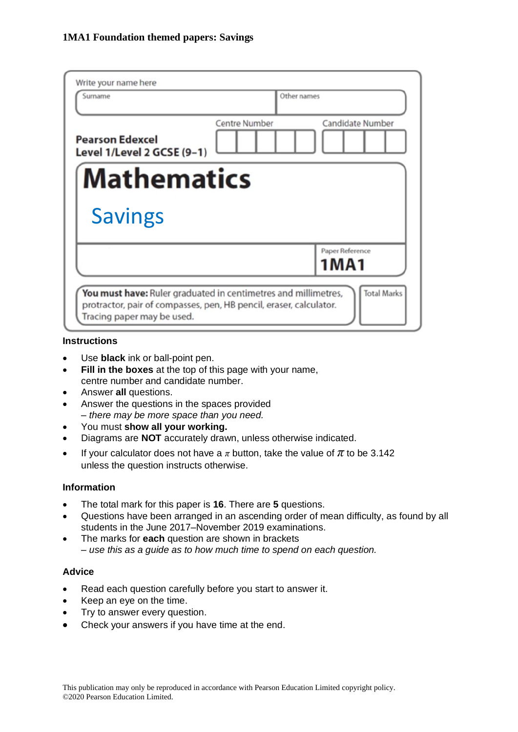| Write your name here<br>Surname                                | Other names          |                                                                                          |
|----------------------------------------------------------------|----------------------|------------------------------------------------------------------------------------------|
| <b>Pearson Edexcel</b><br>Level 1/Level 2 GCSE (9-1)           | <b>Centre Number</b> | Candidate Number                                                                         |
| <b>Mathematics</b>                                             |                      |                                                                                          |
| <b>Savings</b>                                                 |                      |                                                                                          |
|                                                                |                      | Paper Reference<br>1MA1                                                                  |
| You must have: Ruler graduated in centimetres and millimetres, |                      | <b>Total Marks</b><br>protractor, pair of compasses, pen, HB pencil, eraser, calculator. |

#### **Instructions**

- Use **black** ink or ball-point pen.
- **Fill in the boxes** at the top of this page with your name, centre number and candidate number.
- Answer **all** questions.
- Answer the questions in the spaces provided *– there may be more space than you need.*
- You must **show all your working.**
- Diagrams are **NOT** accurately drawn, unless otherwise indicated.
- If your calculator does not have a  $\pi$  button, take the value of  $\pi$  to be 3.142 unless the question instructs otherwise.

#### **Information**

- The total mark for this paper is **16**. There are **5** questions.
- Questions have been arranged in an ascending order of mean difficulty, as found by all students in the June 2017–November 2019 examinations.
- The marks for **each** question are shown in brackets *– use this as a guide as to how much time to spend on each question.*

#### **Advice**

- Read each question carefully before you start to answer it.
- Keep an eye on the time.
- Try to answer every question.
- Check your answers if you have time at the end.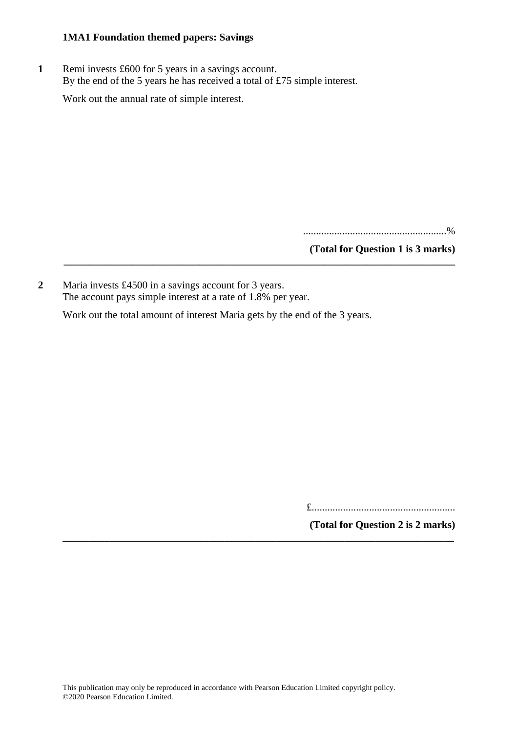**1** Remi invests £600 for 5 years in a savings account. By the end of the 5 years he has received a total of £75 simple interest.

Work out the annual rate of simple interest.

.......................................................%

**(Total for Question 1 is 3 marks)**

**2** Maria invests £4500 in a savings account for 3 years. The account pays simple interest at a rate of 1.8% per year.

Work out the total amount of interest Maria gets by the end of the 3 years.

**\_\_\_\_\_\_\_\_\_\_\_\_\_\_\_\_\_\_\_\_\_\_\_\_\_\_\_\_\_\_\_\_\_\_\_\_\_\_\_\_\_\_\_\_\_\_\_\_\_\_\_\_\_\_\_\_\_\_\_\_\_\_\_\_\_\_\_\_\_\_\_\_\_\_\_**

**\_\_\_\_\_\_\_\_\_\_\_\_\_\_\_\_\_\_\_\_\_\_\_\_\_\_\_\_\_\_\_\_\_\_\_\_\_\_\_\_\_\_\_\_\_\_\_\_\_\_\_\_\_\_\_\_\_\_\_\_\_\_\_\_\_\_\_\_\_\_\_\_\_\_\_**

£.......................................................

**(Total for Question 2 is 2 marks)**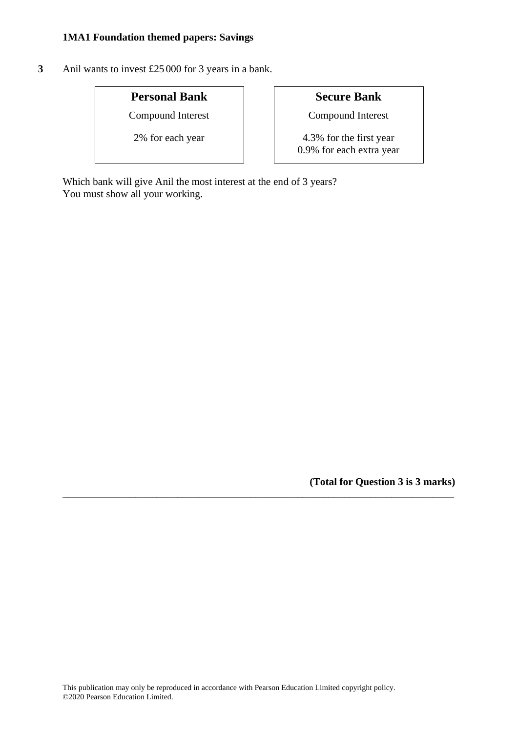**3** Anil wants to invest £25 000 for 3 years in a bank.

# **Personal Bank Secure Bank**

Compound Interest Compound Interest

2% for each year 1.3% for the first year 0.9% for each extra year

Which bank will give Anil the most interest at the end of 3 years? You must show all your working.

**(Total for Question 3 is 3 marks)**

**\_\_\_\_\_\_\_\_\_\_\_\_\_\_\_\_\_\_\_\_\_\_\_\_\_\_\_\_\_\_\_\_\_\_\_\_\_\_\_\_\_\_\_\_\_\_\_\_\_\_\_\_\_\_\_\_\_\_\_\_\_\_\_\_\_\_\_\_\_\_\_\_\_\_\_**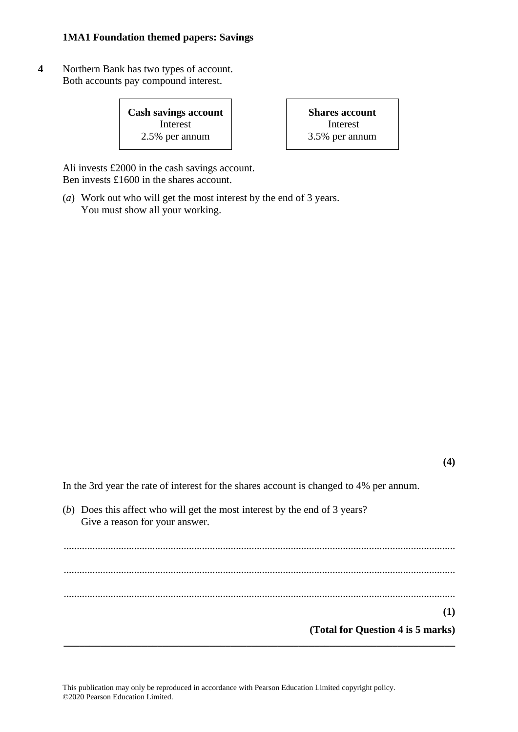**4** Northern Bank has two types of account. Both accounts pay compound interest.

> **Cash savings account** Interest 2.5% per annum

**Shares account** Interest 3.5% per annum

Ali invests £2000 in the cash savings account. Ben invests £1600 in the shares account.

(*a*) Work out who will get the most interest by the end of 3 years. You must show all your working.

In the 3rd year the rate of interest for the shares account is changed to 4% per annum.

(*b*) Does this affect who will get the most interest by the end of 3 years? Give a reason for your answer.

...................................................................................................................................................... ...................................................................................................................................................... ...................................................................................................................................................... **(1) (Total for Question 4 is 5 marks) \_\_\_\_\_\_\_\_\_\_\_\_\_\_\_\_\_\_\_\_\_\_\_\_\_\_\_\_\_\_\_\_\_\_\_\_\_\_\_\_\_\_\_\_\_\_\_\_\_\_\_\_\_\_\_\_\_\_\_\_\_\_\_\_\_\_\_\_\_\_\_\_\_\_\_**